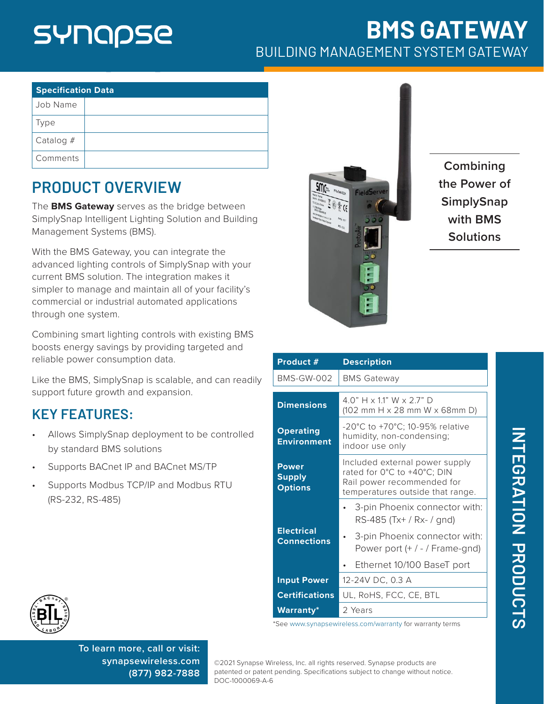## SYNQPSE

## **BMS GATEWAY** BUILDING MANAGEMENT SYSTEM GATEWAY

| <b>Specification Data</b> |  |  |
|---------------------------|--|--|
| Job Name                  |  |  |
| Type                      |  |  |
| Catalog $#$               |  |  |
| Comments                  |  |  |

## **PRODUCT OVERVIEW**

The **BMS Gateway** serves as the bridge between SimplySnap Intelligent Lighting Solution and Building Management Systems (BMS).

With the BMS Gateway, you can integrate the advanced lighting controls of SimplySnap with your current BMS solution. The integration makes it simpler to manage and maintain all of your facility's commercial or industrial automated applications through one system.

Combining smart lighting controls with existing BMS boosts energy savings by providing targeted and reliable power consumption data.

Like the BMS, SimplySnap is scalable, and can readily support future growth and expansion.

## **KEY FEATURES:**

- Allows SimplySnap deployment to be controlled by standard BMS solutions
- Supports BACnet IP and BACnet MS/TP
- Supports Modbus TCP/IP and Modbus RTU (RS-232, RS-485)



**Combining the Power of SimplySnap with BMS Solutions**

| Product #                                       | <b>Description</b>                                                                                                              |
|-------------------------------------------------|---------------------------------------------------------------------------------------------------------------------------------|
| <b>BMS-GW-002</b>                               | <b>BMS Gateway</b>                                                                                                              |
| <b>Dimensions</b>                               | $40" H \times 11" W \times 27" D$<br>$(102$ mm H $\times$ 28 mm W $\times$ 68mm D)                                              |
| <b>Operating</b><br><b>Environment</b>          | -20°C to +70°C; 10-95% relative<br>humidity, non-condensing;<br>indoor use only                                                 |
| <b>Power</b><br><b>Supply</b><br><b>Options</b> | Included external power supply<br>rated for 0°C to +40°C; DIN<br>Rail power recommended for<br>temperatures outside that range. |
|                                                 | 3-pin Phoenix connector with:<br>RS-485 (Tx+ / Rx- / gnd)                                                                       |
| <b>Electrical</b><br><b>Connections</b>         | 3-pin Phoenix connector with:<br>Power port $(+ / - /$ Frame-gnd)                                                               |
|                                                 | Ethernet 10/100 BaseT port                                                                                                      |
| <b>Input Power</b>                              | 12-24V DC, 0.3 A                                                                                                                |
| <b>Certifications</b>                           | UL, RoHS, FCC, CE, BTL                                                                                                          |
| <b>Warranty*</b>                                | 2 Years                                                                                                                         |





**To learn more, call or visit: [synapsewireless.com](http://www.synapse-wireless.com) (877) 982-7888**

©2021 Synapse Wireless, Inc. all rights reserved. Synapse products are patented or patent pending. Specifications subject to change without notice. DOC-1000069-A-6